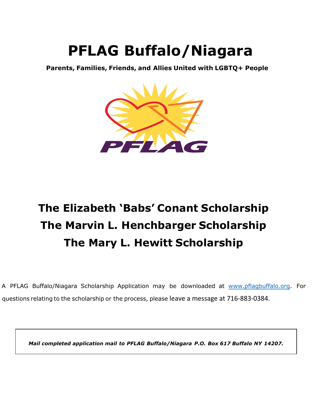# **PFLAG Buffalo/Niagara**

**Parents, Families, Friends, and Allies United with LGBTQ+ People**



## **The Elizabeth 'Babs' Conant Scholarship The Marvin L. Henchbarger Scholarship The Mary L. Hewitt Scholarship**

A PFLAG Buffalo/Niagara Scholarship Application may be downloaded at [www.pflagbuffalo.org](http://www.pflagbuffalo.org/). For questions relating to the scholarship or the process, please leave a message at 716-883-0384.

*Mail completed application m[ail to PFLAG B](mailto:info@pflagbuffalo.org)uffalo/Niagara P.O. Box 617 Buffalo NY 14207.*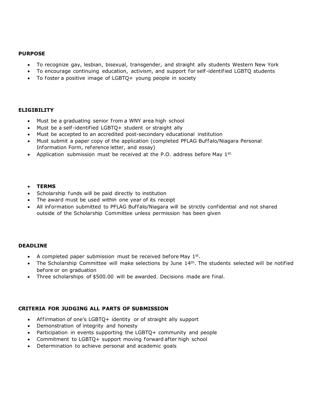#### **PURPOSE**

- To recognize gay, lesbian, bisexual, transgender, and straight ally students Western New York
- To encourage continuing education, activism, and support for self -identified LGBTQ students
- To foster a positive image of LGBTQ+ young people in society

#### **ELIGIBILITY**

- Must be a graduating senior from a WNY area high school
- Must be a self -identified LGBTQ+ student or straight ally
- Must be accepted to an accredited post-secondary educational institution
- Must submit a paper copy of the application (completed PFLAG Buffalo/Niagara Personal Information Form, reference letter, and essay)
- Application submission must be received at the P.O. address before May  $1^{st.}$

#### • **TERMS**

- Scholarship funds will be paid directly to institution
- The award must be used within one year of its receipt
- All information submitted to PFLAG Buffalo/Niagara will be strictly confidential and not shared outside of the Scholarship Committee unless permission has been given

#### **DEADLINE**

- A completed paper submission must be received before May  $1<sup>st</sup>$ .
- The Scholarship Committee will make selections by June 14<sup>th</sup>. The students selected will be notified before or on graduation
- Three scholarships of \$500.00 will be awarded. Decisions made are final.

#### **CRITERIA FOR JUDGING ALL PARTS OF SUBMISSION**

- Affirmation of one's LGBTQ+ identity or of straight ally support
- Demonstration of integrity and honesty
- Participation in events supporting the LGBTQ+ community and people
- Commitment to LGBTO+ support moving forward after high school
- Determination to achieve personal and academic goals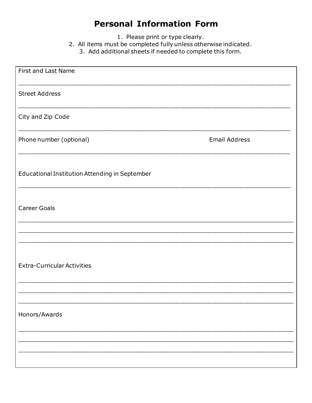### **Personal Information Form**

1. Please print or type clearly.

- 2. All items must be completed fully unless otherwise indicated.
	- 3. Add additional sheets if needed to complete this form.

| First and Last Name                            |                      |
|------------------------------------------------|----------------------|
| <b>Street Address</b>                          |                      |
| City and Zip Code                              |                      |
| Phone number (optional)                        | <b>Email Address</b> |
| Educational Institution Attending in September |                      |
| <b>Career Goals</b>                            |                      |
|                                                |                      |
| <b>Extra-Curricular Activities</b>             |                      |
|                                                |                      |
| Honors/Awards                                  |                      |
|                                                |                      |
|                                                |                      |